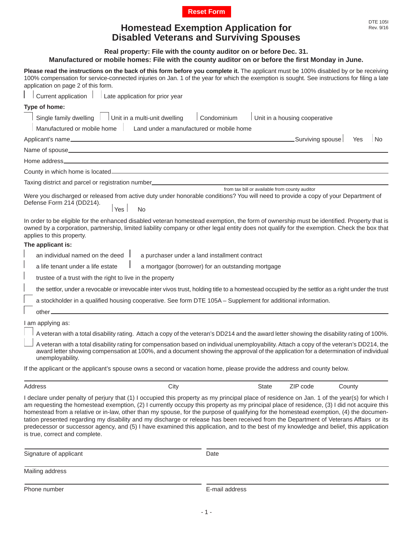

## **Homestead Exemption Application for Rev. 9/16** Rev. 9/16

**Please read the instructions on the back of this form before you complete it.** The applicant must be 100% disabled by or be receiving 100% compensation for service-connected injuries on Jan. 1 of the year for which the exemption is sought. See instructions for filing a late application on page 2 of this form. Current application  $\|\cdot\|$  Late application for prior year **Type of home:** Single family dwelling Unit in a multi-unit dwelling Condominium Unit in a housing cooperative Manufactured or mobile home Land under a manufactured or mobile home Applicant's name Surviving spouse Yes No Name of spouse Home address County in which home is located Taxing district and parcel or registration number Were you discharged or released from active duty under honorable conditions? You will need to provide a copy of your Department of Defense Form 214 (DD214). **Example 2018** No. 2019 No. 2019 No. 2019 No. 2019 No. 2019 No. 2019 No. 2019 No. 2019 No. 2019 No. 2019 No. 2019 No. 2019 No. 2019 No. 2019 No. 2019 No. 2019 No. 2019 No. 2019 No. 2019 No. 2019 No. 2019 No. 2019 No. 2019 In order to be eligible for the enhanced disabled veteran homestead exemption, the form of ownership must be identified. Property that is owned by a corporation, partnership, limited liability company or other legal entity does not qualify for the exemption. Check the box that applies to this property. **The applicant is:** an individual named on the deed  $\parallel$  a purchaser under a land installment contract a life tenant under a life estate  $\Box$  a mortgagor (borrower) for an outstanding mortgage trustee of a trust with the right to live in the property **Disabled Veterans and Surviving Spouses Real property: File with the county auditor on or before Dec. 31. Manufactured or mobile homes: File with the county auditor on or before the fi rst Monday in June.** from tax bill or available from county auditor

the settlor, under a revocable or irrevocable inter vivos trust, holding title to a homestead occupied by the settlor as a right under the trust

a stockholder in a qualified housing cooperative. See form DTE 105A – Supplement for additional information.

 other  $\frac{I \text{ am applying as:}}{}$ 

A veteran with a total disability rating. Attach a copy of the veteran's DD214 and the award letter showing the disability rating of 100%.

 A veteran with a total disability rating for compensation based on individual unemployability. Attach a copy of the veteran's DD214, the award letter showing compensation at 100%, and a document showing the approval of the application for a determination of individual unemployability.

If the applicant or the applicant's spouse owns a second or vacation home, please provide the address and county below.

| Address | Citv | State | ZIP code | Count∨<br>$- - - - -$ |
|---------|------|-------|----------|-----------------------|
|         |      |       |          |                       |

I declare under penalty of perjury that (1) I occupied this property as my principal place of residence on Jan. 1 of the year(s) for which I am requesting the homestead exemption, (2) I currently occupy this property as my principal place of residence, (3) I did not acquire this homestead from a relative or in-law, other than my spouse, for the purpose of qualifying for the homestead exemption, (4) the documentation presented regarding my disability and my discharge or release has been received from the Department of Veterans Affairs or its predecessor or successor agency, and (5) I have examined this application, and to the best of my knowledge and belief, this application is true, correct and complete.

| Signature of applicant | Date           |
|------------------------|----------------|
| Mailing address        |                |
| Phone number           | E-mail address |